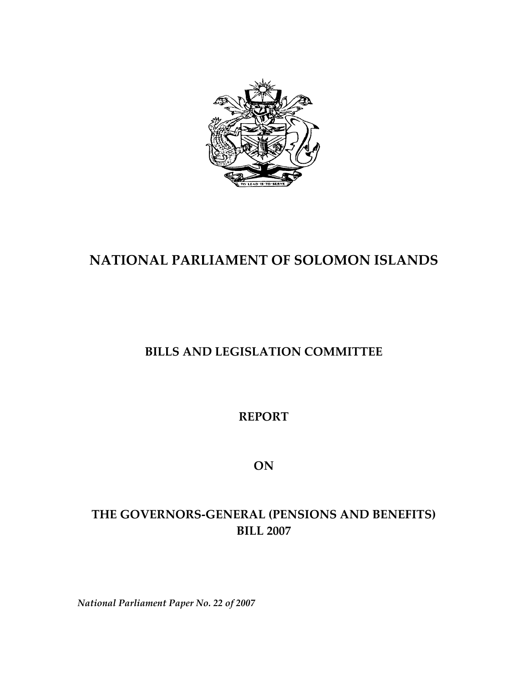

# **NATIONAL PARLIAMENT OF SOLOMON ISLANDS**

# **BILLS AND LEGISLATION COMMITTEE**

**REPORT** 

**ON**

# **THE GOVERNORS‐GENERAL (PENSIONS AND BENEFITS) BILL 2007**

*National Parliament Paper No. 22 of 2007*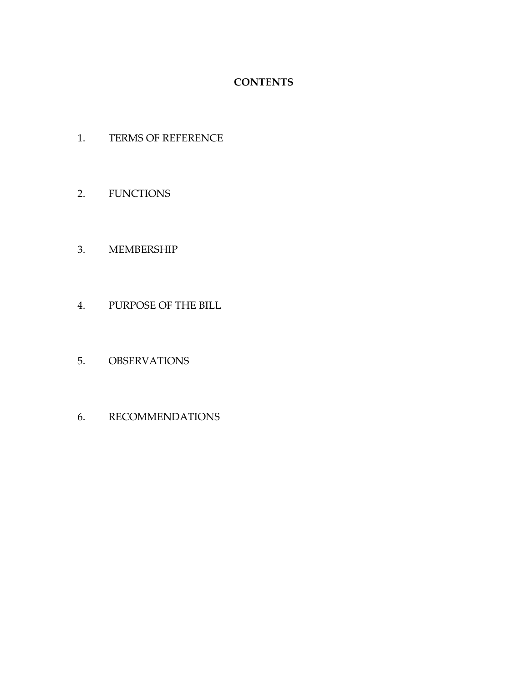## **CONTENTS**

- 1. TERMS OF REFERENCE
- 2. FUNCTIONS

### 3. MEMBERSHIP

- 4. PURPOSE OF THE BILL
- 5. OBSERVATIONS
- 6. RECOMMENDATIONS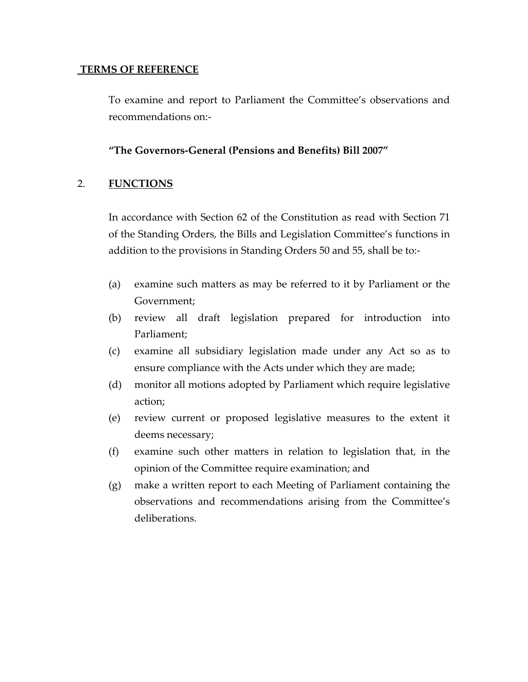#### **TERMS OF REFERENCE**

To examine and report to Parliament the Committee's observations and recommendations on:‐

#### **"The Governors‐General (Pensions and Benefits) Bill 2007"**

#### 2. **FUNCTIONS**

In accordance with Section 62 of the Constitution as read with Section 71 of the Standing Orders, the Bills and Legislation Committee's functions in addition to the provisions in Standing Orders 50 and 55, shall be to:‐

- (a) examine such matters as may be referred to it by Parliament or the Government;
- (b) review all draft legislation prepared for introduction into Parliament;
- (c) examine all subsidiary legislation made under any Act so as to ensure compliance with the Acts under which they are made;
- (d) monitor all motions adopted by Parliament which require legislative action;
- (e) review current or proposed legislative measures to the extent it deems necessary;
- (f) examine such other matters in relation to legislation that, in the opinion of the Committee require examination; and
- (g) make a written report to each Meeting of Parliament containing the observations and recommendations arising from the Committee's deliberations.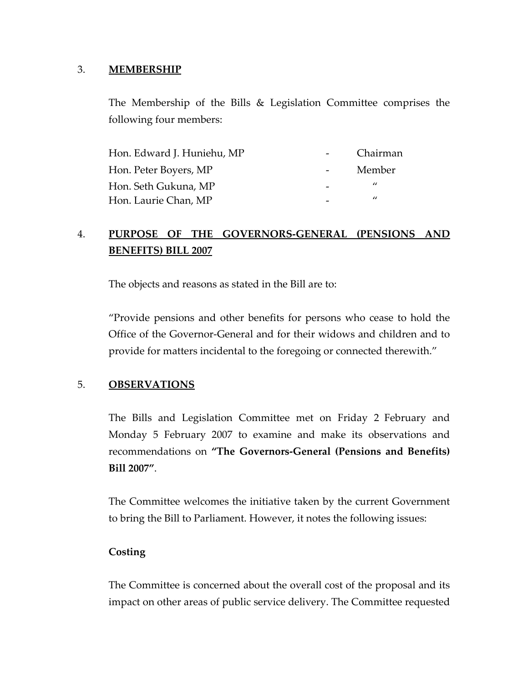#### 3. **MEMBERSHIP**

The Membership of the Bills & Legislation Committee comprises the following four members:

| Hon. Edward J. Huniehu, MP | Chairman       |
|----------------------------|----------------|
| Hon. Peter Boyers, MP      | Member         |
| Hon. Seth Gukuna, MP       | $\prime\prime$ |
| Hon. Laurie Chan, MP       | $\prime$       |

## 4. **PURPOSE OF THE GOVERNORS‐GENERAL (PENSIONS AND BENEFITS) BILL 2007**

The objects and reasons as stated in the Bill are to:

"Provide pensions and other benefits for persons who cease to hold the Office of the Governor‐General and for their widows and children and to provide for matters incidental to the foregoing or connected therewith."

#### 5. **OBSERVATIONS**

The Bills and Legislation Committee met on Friday 2 February and Monday 5 February 2007 to examine and make its observations and recommendations on **"The Governors‐General (Pensions and Benefits) Bill 2007"**.

The Committee welcomes the initiative taken by the current Government to bring the Bill to Parliament. However, it notes the following issues:

#### **Costing**

The Committee is concerned about the overall cost of the proposal and its impact on other areas of public service delivery. The Committee requested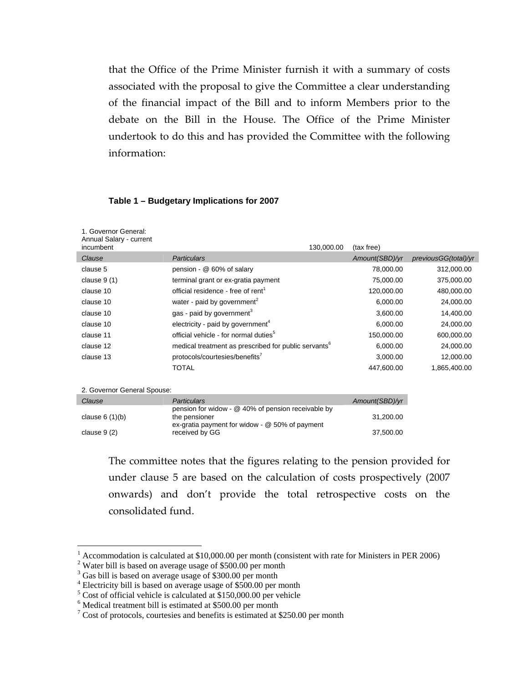that the Office of the Prime Minister furnish it with a summary of costs associated with the proposal to give the Committee a clear understanding of the financial impact of the Bill and to inform Members prior to the debate on the Bill in the House. The Office of the Prime Minister undertook to do this and has provided the Committee with the following information:

#### **Table 1 – Budgetary Implications for 2007**

| 1. Governor General:<br>Annual Salary - current<br>incumbent |                                                                                                                         | 130,000.00 | (tax free)     |                      |  |
|--------------------------------------------------------------|-------------------------------------------------------------------------------------------------------------------------|------------|----------------|----------------------|--|
| Clause                                                       | Particulars                                                                                                             |            | Amount(SBD)/yr | previousGG(total)/yr |  |
| clause 5                                                     | pension - @ 60% of salary                                                                                               |            | 78,000.00      | 312,000.00           |  |
| clause $9(1)$                                                | terminal grant or ex-gratia payment                                                                                     |            | 75,000.00      | 375,000.00           |  |
| clause 10                                                    | official residence - free of rent <sup>1</sup>                                                                          |            | 120,000.00     | 480,000.00           |  |
| clause 10                                                    | water - paid by government <sup>2</sup>                                                                                 |            | 6,000.00       | 24,000.00            |  |
| clause 10                                                    | gas - paid by government <sup>3</sup>                                                                                   |            | 3,600.00       | 14,400.00            |  |
| clause 10                                                    | electricity - paid by government <sup>4</sup>                                                                           |            | 6,000.00       | 24,000.00            |  |
| clause 11                                                    | official vehicle - for normal duties <sup>5</sup>                                                                       |            | 150,000.00     | 600,000.00           |  |
| clause 12                                                    | medical treatment as prescribed for public servants <sup>6</sup>                                                        |            | 6,000.00       | 24,000.00            |  |
| clause 13                                                    | protocols/courtesies/benefits'                                                                                          |            | 3,000.00       | 12,000.00            |  |
|                                                              | <b>TOTAL</b>                                                                                                            |            | 447,600.00     | 1,865,400.00         |  |
|                                                              |                                                                                                                         |            |                |                      |  |
| 2. Governor General Spouse:                                  |                                                                                                                         |            |                |                      |  |
| Clause                                                       | Particulars                                                                                                             |            | Amount(SBD)/yr |                      |  |
| clause $6(1)(b)$                                             | pension for widow - @ 40% of pension receivable by<br>the pensioner<br>ex-gratia payment for widow - $@$ 50% of payment |            | 31,200.00      |                      |  |
| clause $9(2)$                                                | received by GG                                                                                                          |            | 37,500.00      |                      |  |

The committee notes that the figures relating to the pension provided for under clause 5 are based on the calculation of costs prospectively (2007 onwards) and don't provide the total retrospective costs on the consolidated fund.

<u>.</u>

<span id="page-4-0"></span><sup>&</sup>lt;sup>1</sup> Accommodation is calculated at \$10,000.00 per month (consistent with rate for Ministers in PER 2006)

<span id="page-4-1"></span><sup>&</sup>lt;sup>2</sup> Water bill is based on average usage of \$500.00 per month

<span id="page-4-2"></span><sup>&</sup>lt;sup>3</sup> Gas bill is based on average usage of \$300.00 per month

<span id="page-4-3"></span><sup>&</sup>lt;sup>4</sup> Electricity bill is based on average usage of \$500.00 per month

<span id="page-4-4"></span> $^5$  Cost of official vehicle is calculated at \$150,000.00 per vehicle  $^6$  Modical treatment bill is estimated at \$500.00 per month

<span id="page-4-5"></span> $6$  Medical treatment bill is estimated at \$500.00 per month

<span id="page-4-6"></span> $7 \text{ Cost of protocols, courtesies and benefits is estimated at $250.00 per month}$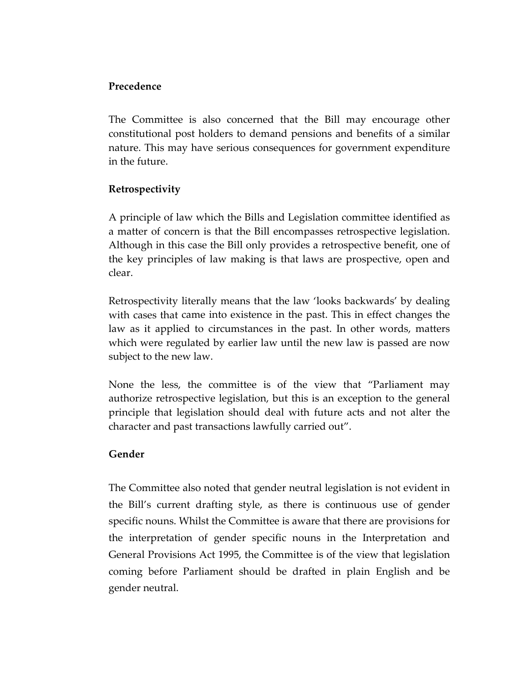#### **Precedence**

The Committee is also concerned that the Bill may encourage other constitutional post holders to demand pensions and benefits of a similar nature. This may have serious consequences for government expenditure in the future.

### **Retrospectivity**

A principle of law which the Bills and Legislation committee identified as a matter of concern is that the Bill encompasses retrospective legislation. Although in this case the Bill only provides a retrospective benefit, one of the key principles of law making is that laws are prospective, open and clear.

Retrospectivity literally means that the law 'looks backwards' by dealing with cases that came into existence in the past. This in effect changes the law as it applied to circumstances in the past. In other words, matters which were regulated by earlier law until the new law is passed are now subject to the new law.

None the less, the committee is of the view that "Parliament may authorize retrospective legislation, but this is an exception to the general principle that legislation should deal with future acts and not alter the character and past transactions lawfully carried out".

#### **Gender**

The Committee also noted that gender neutral legislation is not evident in the Bill's current drafting style, as there is continuous use of gender specific nouns. Whilst the Committee is aware that there are provisions for the interpretation of gender specific nouns in the Interpretation and General Provisions Act 1995, the Committee is of the view that legislation coming before Parliament should be drafted in plain English and be gender neutral.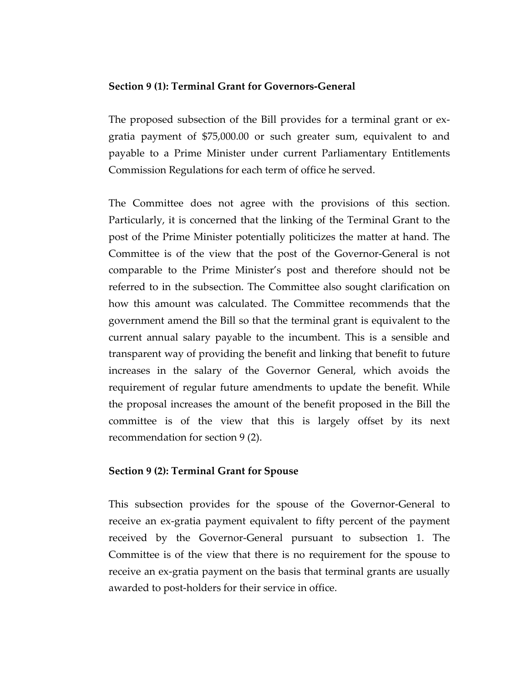#### **Section 9 (1): Terminal Grant for Governors‐General**

The proposed subsection of the Bill provides for a terminal grant or ex‐ gratia payment of \$75,000.00 or such greater sum, equivalent to and payable to a Prime Minister under current Parliamentary Entitlements Commission Regulations for each term of office he served.

The Committee does not agree with the provisions of this section. Particularly, it is concerned that the linking of the Terminal Grant to the post of the Prime Minister potentially politicizes the matter at hand. The Committee is of the view that the post of the Governor‐General is not comparable to the Prime Minister's post and therefore should not be referred to in the subsection. The Committee also sought clarification on how this amount was calculated. The Committee recommends that the government amend the Bill so that the terminal grant is equivalent to the current annual salary payable to the incumbent. This is a sensible and transparent way of providing the benefit and linking that benefit to future increases in the salary of the Governor General, which avoids the requirement of regular future amendments to update the benefit. While the proposal increases the amount of the benefit proposed in the Bill the committee is of the view that this is largely offset by its next recommendation for section 9 (2).

#### **Section 9 (2): Terminal Grant for Spouse**

This subsection provides for the spouse of the Governor‐General to receive an ex‐gratia payment equivalent to fifty percent of the payment received by the Governor‐General pursuant to subsection 1. The Committee is of the view that there is no requirement for the spouse to receive an ex‐gratia payment on the basis that terminal grants are usually awarded to post‐holders for their service in office.